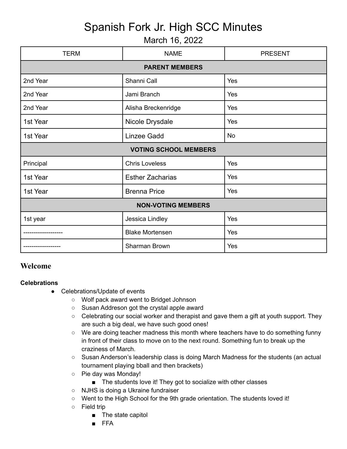## Spanish Fork Jr. High SCC Minutes

## March 16, 2022

| <b>TERM</b>                  | <b>NAME</b>             | <b>PRESENT</b> |
|------------------------------|-------------------------|----------------|
| <b>PARENT MEMBERS</b>        |                         |                |
| 2nd Year                     | Shanni Call             | Yes            |
| 2nd Year                     | Jami Branch             | Yes            |
| 2nd Year                     | Alisha Breckenridge     | Yes            |
| 1st Year                     | Nicole Drysdale         | Yes            |
| 1st Year                     | Linzee Gadd             | <b>No</b>      |
| <b>VOTING SCHOOL MEMBERS</b> |                         |                |
| Principal                    | <b>Chris Loveless</b>   | Yes            |
| 1st Year                     | <b>Esther Zacharias</b> | Yes            |
| 1st Year                     | <b>Brenna Price</b>     | Yes            |
| <b>NON-VOTING MEMBERS</b>    |                         |                |
| 1st year                     | Jessica Lindley         | Yes            |
|                              | <b>Blake Mortensen</b>  | Yes            |
|                              | Sharman Brown           | Yes            |

## **Welcome**

## **Celebrations**

- Celebrations/Update of events
	- Wolf pack award went to Bridget Johnson
	- Susan Addreson got the crystal apple award
	- Celebrating our social worker and therapist and gave them a gift at youth support. They are such a big deal, we have such good ones!
	- We are doing teacher madness this month where teachers have to do something funny in front of their class to move on to the next round. Something fun to break up the craziness of March.
	- Susan Anderson's leadership class is doing March Madness for the students (an actual tournament playing bball and then brackets)
	- Pie day was Monday!
		- The students love it! They got to socialize with other classes
	- NJHS is doing a Ukraine fundraiser
	- Went to the High School for the 9th grade orientation. The students loved it!
	- Field trip
		- The state capitol
		- FFA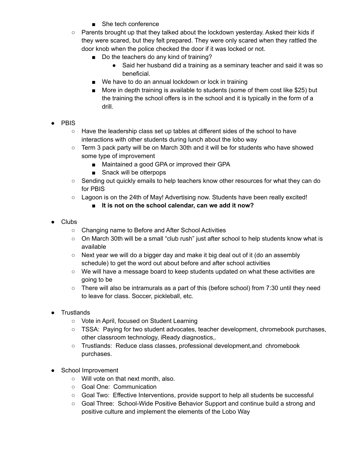- She tech conference
- $\circ$  Parents brought up that they talked about the lockdown yesterday. Asked their kids if they were scared, but they felt prepared. They were only scared when they rattled the door knob when the police checked the door if it was locked or not.
	- Do the teachers do any kind of training?
		- Said her husband did a training as a seminary teacher and said it was so beneficial.
	- We have to do an annual lockdown or lock in training
	- More in depth training is available to students (some of them cost like \$25) but the training the school offers is in the school and it is typically in the form of a drill.
- PBIS
	- Have the leadership class set up tables at different sides of the school to have interactions with other students during lunch about the lobo way
	- Term 3 pack party will be on March 30th and it will be for students who have showed some type of improvement
		- Maintained a good GPA or improved their GPA
		- Snack will be otterpops
	- Sending out quickly emails to help teachers know other resources for what they can do for PBIS
	- Lagoon is on the 24th of May! Advertising now. Students have been really excited!
		- **■ It is not on the school calendar, can we add it now?**
- Clubs
	- Changing name to Before and After School Activities
	- On March 30th will be a small "club rush" just after school to help students know what is available
	- $\circ$  Next year we will do a bigger day and make it big deal out of it (do an assembly schedule) to get the word out about before and after school activities
	- We will have a message board to keep students updated on what these activities are going to be
	- $\circ$  There will also be intramurals as a part of this (before school) from 7:30 until they need to leave for class. Soccer, pickleball, etc.
- **Trustlands** 
	- Vote in April, focused on Student Learning
	- TSSA: Paying for two student advocates, teacher development, chromebook purchases, other classroom technology, iReady diagnostics,.
	- Trustlands: Reduce class classes, professional development,and chromebook purchases.
- School Improvement
	- Will vote on that next month, also.
	- Goal One: Communication
	- Goal Two: Effective Interventions, provide support to help all students be successful
	- Goal Three: School-Wide Positive Behavior Support and continue build a strong and positive culture and implement the elements of the Lobo Way